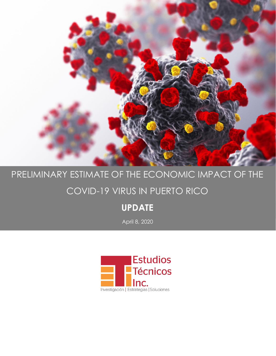

# PRELIMINARY ESTIMATE OF THE ECONOMIC IMPACT OF THE

## COVID-19 VIRUS IN PUERTO RICO

### **UPDATE**

April 8, 2020

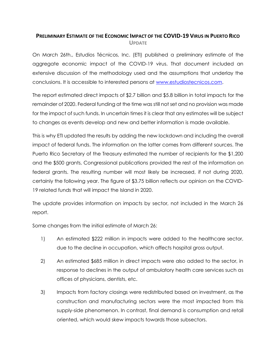#### **PRELIMINARY ESTIMATE OF THE ECONOMIC IMPACT OF THE COVID-19 VIRUS IN PUERTO RICO UPDATE**

On March 26th., Estudios Técnicos, Inc. (ETI) published a preliminary estimate of the aggregate economic impact of the COVID-19 virus. That document included an extensive discussion of the methodology used and the assumptions that underlay the conclusions. It is accessible to interested persons at www.estudiostecnicos.com.

The report estimated direct impacts of \$2.7 billion and \$5.8 billion in total impacts for the remainder of 2020. Federal funding at the time was still not set and no provision was made for the impact of such funds. In uncertain times it is clear that any estimates will be subject to changes as events develop and new and better information is made available.

This is why ETI updated the results by adding the new lockdown and including the overall impact of federal funds. The information on the latter comes from different sources. The Puerto Rico Secretary of the Treasury estimated the number of recipients for the \$1,200 and the \$500 grants, Congressional publications provided the rest of the information on federal grants. The resulting number will most likely be increased, if not during 2020, certainly the following year. The figure of \$3.75 billion reflects our opinion on the COVID-19 related funds that will impact the Island in 2020.

The update provides information on impacts by sector, not included in the March 26 report.

Some changes from the initial estimate of March 26:

- 1) An estimated \$222 million in impacts were added to the healthcare sector, due to the decline in occupation, which affects hospital gross output.
- 2) An estimated \$685 million in direct impacts were also added to the sector, in response to declines in the output of ambulatory health care services such as offices of physicians, dentists, etc.
- 3) Impacts from factory closings were redistributed based on investment, as the construction and manufacturing sectors were the most impacted from this supply-side phenomenon. In contrast, final demand is consumption and retail oriented, which would skew impacts towards those subsectors.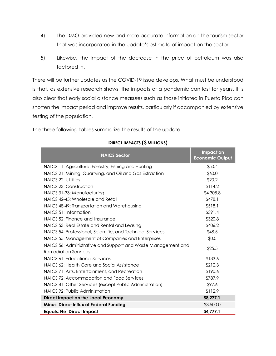- 4) The DMO provided new and more accurate information on the tourism sector that was incorporated in the update's estimate of impact on the sector.
- 5) Likewise, the impact of the decrease in the price of petroleum was also factored in.

There will be further updates as the COVID-19 issue develops. What must be understood is that, as extensive research shows, the impacts of a pandemic can last for years. It is also clear that early social distance measures such as those initiated in Puerto Rico can shorten the impact period and improve results, particularly if accompanied by extensive testing of the population.

| <b>NAICS Sector</b>                                                                          | Impact on<br><b>Economic Output</b> |
|----------------------------------------------------------------------------------------------|-------------------------------------|
| NAICS 11: Agriculture, Forestry, Fishing and Hunting                                         | \$50.4                              |
| NAICS 21: Mining, Quarrying, and Oil and Gas Extraction                                      | \$60.0                              |
| NAICS 22: Utilities                                                                          | \$20.2                              |
| NAICS 23: Construction                                                                       | \$114.2                             |
| NAICS 31-33: Manufacturing                                                                   | \$4,308.8                           |
| NAICS 42-45: Wholesale and Retail                                                            | \$478.1                             |
| NAICS 48-49: Transportation and Warehousing                                                  | \$518.1                             |
| NAICS 51: Information                                                                        | \$391.4                             |
| NAICS 52: Finance and Insurance                                                              | \$320.8                             |
| NAICS 53: Real Estate and Rental and Leasing                                                 | \$406.2                             |
| NAICS 54: Professional, Scientific, and Technical Services                                   | \$48.5                              |
| NAICS 55: Management of Companies and Enterprises                                            | \$0.0                               |
| NAICS 56: Administrative and Support and Waste Management and<br><b>Remediation Services</b> | \$25.5                              |
| NAICS 61: Educational Services                                                               | \$133.6                             |
| NAICS 62: Health Care and Social Assistance                                                  | \$212.3                             |
| NAICS 71: Arts, Entertainment, and Recreation                                                | \$190.6                             |
| NAICS 72: Accommodation and Food Services                                                    | \$787.9                             |
| NAICS 81: Other Services (except Public Administration)                                      | \$97.6                              |
| NAICS 92: Public Administration                                                              | \$112.9                             |
| <b>Direct Impact on the Local Economy</b>                                                    | \$8,277.1                           |
| <b>Minus: Direct Influx of Federal Funding</b>                                               | \$3,500.0                           |
| <b>Equals: Net Direct Impact</b>                                                             | \$4,777.1                           |

The three following tables summarize the results of the update.

#### **DIRECT IMPACTS (\$ MILLIONS)**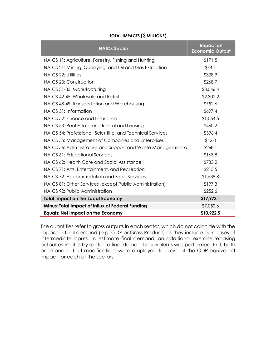| <b>NAICS Sector</b>                                         | Impact on<br><b>Economic Output</b> |
|-------------------------------------------------------------|-------------------------------------|
| NAICS 11: Agriculture, Forestry, Fishing and Hunting        | \$171.5                             |
| NAICS 21: Mining, Quarrying, and Oil and Gas Extraction     | \$74.1                              |
| NAICS 22: Utilities                                         | \$338.9                             |
| NAICS 23: Construction                                      | \$268.7                             |
| NAICS 31-33: Manufacturing                                  | \$8,046.4                           |
| NAICS 42-45: Wholesale and Retail                           | \$2,302.2                           |
| NAICS 48-49: Transportation and Warehousing                 | \$752.6                             |
| NAICS 51: Information                                       | \$697.4                             |
| NAICS 52: Finance and Insurance                             | \$1,054.5                           |
| NAICS 53: Real Estate and Rental and Leasing                | \$460.2                             |
| NAICS 54: Professional, Scientific, and Technical Services  | \$396.4                             |
| NAICS 55: Management of Companies and Enterprises           | \$42.0                              |
| NAICS 56: Administrative and Support and Waste Management a | \$268.1                             |
| NAICS 61: Educational Services                              | \$163.8                             |
| NAICS 62: Health Care and Social Assistance                 | \$733.2                             |
| NAICS 71: Arts, Entertainment, and Recreation               | \$213.5                             |
| NAICS 72: Accommodation and Food Services                   | \$1,539.8                           |
| NAICS 81: Other Services (except Public Administration)     | \$197.3                             |
| NAICS 92: Public Administration                             | \$252.6                             |
| <b>Total Impact on the Local Economy</b>                    | \$17,973.1                          |
| Minus: Total Impact of Influx of Federal Funding            | \$7,050.6                           |
| <b>Equals: Net Impact on the Economy</b>                    | \$10,922.5                          |

#### **TOTAL IMPACTS (\$ MILLIONS)**

The quantities refer to gross outputs in each sector, which do not coincide with the impact in final demand (e.g. GDP or Gross Product) as they include purchases of intermediate inputs. To estimate final demand, an additional exercise rebasing output estimates by sector to final demand equivalents was performed. In it, both price and output modifications were employed to arrive at the GDP-equivalent impact for each of the sectors.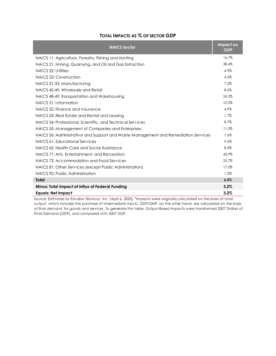### **TOTAL IMPACTS AS % OF SECTOR GDP**

| <b>NAICS Sector</b>                                                                | Impact on<br><b>GDP</b> |
|------------------------------------------------------------------------------------|-------------------------|
| NAICS 11: Agriculture, Forestry, Fishing and Hunting                               | 16.7%                   |
| NAICS 21: Mining, Quarrying, and Oil and Gas Extraction                            | 38.4%                   |
| NAICS 22: Utilities                                                                | 4.9%                    |
| NAICS 23: Construction                                                             | 4.5%                    |
| NAICS 31-33: Manufacturing                                                         | 7.0%                    |
| NAICS 42-45: Wholesale and Retail                                                  | 8.6%                    |
| NAICS 48-49: Transportation and Warehousing                                        | 24.2%                   |
| NAICS 51: Information                                                              | 10.5%                   |
| NAICS 52: Finance and Insurance                                                    | 4.9%                    |
| NAICS 53: Real Estate and Rental and Leasing                                       | 1.7%                    |
| NAICS 54: Professional, Scientific, and Technical Services                         | 8.7%                    |
| NAICS 55: Management of Companies and Enterprises                                  | 11.0%                   |
| NAICS 56: Administrative and Support and Waste Management and Remediation Services | 7.6%                    |
| NAICS 61: Educational Services                                                     | 9.6%                    |
| NAICS 62: Health Care and Social Assistance                                        | 8.3%                    |
| NAICS 71: Arts, Entertainment, and Recreation                                      | 45.9%                   |
| NAICS 72: Accommodation and Food Services                                          | 25.7%                   |
| NAICS 81: Other Services (except Public Administration)                            | 17.0%                   |
| NAICS 92: Public Administration                                                    | 1.3%                    |
| <b>Total</b>                                                                       | 6.5%                    |
| Minus: Total Impact of Influx of Federal Funding                                   | 3.2%                    |
| <b>Equals: Net Impact</b>                                                          | 3.2%                    |

Source: Estimates by Estudios Técnicos, Inc. (April 6, 2020). \*Impacts were originally calculated on the basis of total output, which includes the purchase of intermediate inputs. GDP/GNP, on the other hand, are calculated on the basis of *final demand* for goods and services. To generate this table, Output-Based Impacts were transformed 2007 Dollars of Final Demand (GDP), and compared with 2007 GDP.